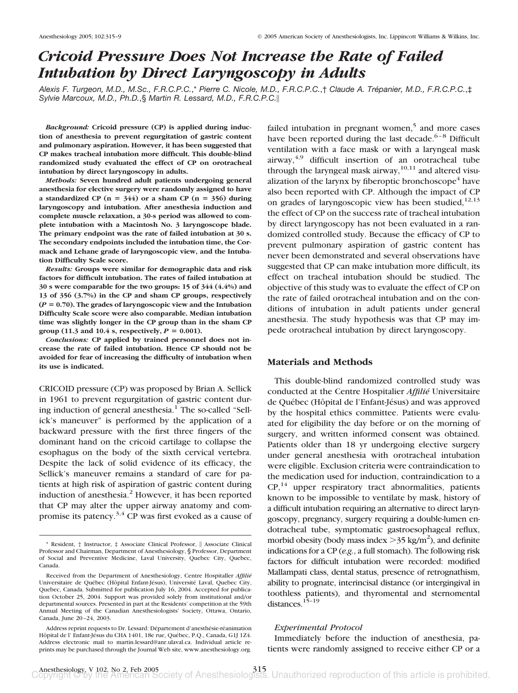# *Cricoid Pressure Does Not Increase the Rate of Failed Intubation by Direct Laryngoscopy in Adults*

*Alexis F. Turgeon, M.D., M.Sc., F.R.C.P.C.*,\* *Pierre C. Nicole, M.D., F.R.C.P.C.*,† *Claude A. Trépanier, M.D., F.R.C.P.C.*,‡ *Sylvie Marcoux, M.D., Ph.D.*,§ *Martin R. Lessard, M.D., F.R.C.P.C.*

*Background:* **Cricoid pressure (CP) is applied during induction of anesthesia to prevent regurgitation of gastric content and pulmonary aspiration. However, it has been suggested that CP makes tracheal intubation more difficult. This double-blind randomized study evaluated the effect of CP on orotracheal intubation by direct laryngoscopy in adults.**

*Methods:* **Seven hundred adult patients undergoing general anesthesia for elective surgery were randomly assigned to have** a standardized CP  $(n = 344)$  or a sham CP  $(n = 356)$  during **laryngoscopy and intubation. After anesthesia induction and complete muscle relaxation, a 30-s period was allowed to complete intubation with a Macintosh No. 3 laryngoscope blade. The primary endpoint was the rate of failed intubation at 30 s. The secondary endpoints included the intubation time, the Cormack and Lehane grade of laryngoscopic view, and the Intubation Difficulty Scale score.**

*Results:* **Groups were similar for demographic data and risk factors for difficult intubation. The rates of failed intubation at 30 s were comparable for the two groups: 15 of 344 (4.4%) and 13 of 356 (3.7%) in the CP and sham CP groups, respectively (***P* **0.70). The grades of laryngoscopic view and the Intubation Difficulty Scale score were also comparable. Median intubation time was slightly longer in the CP group than in the sham CP group** (11.3 and 10.4 s, respectively,  $P = 0.001$ ).

*Conclusions:* **CP applied by trained personnel does not increase the rate of failed intubation. Hence CP should not be avoided for fear of increasing the difficulty of intubation when its use is indicated.**

CRICOID pressure (CP) was proposed by Brian A. Sellick in 1961 to prevent regurgitation of gastric content during induction of general anesthesia.<sup>1</sup> The so-called "Sellick's maneuver" is performed by the application of a backward pressure with the first three fingers of the dominant hand on the cricoid cartilage to collapse the esophagus on the body of the sixth cervical vertebra. Despite the lack of solid evidence of its efficacy, the Sellick's maneuver remains a standard of care for patients at high risk of aspiration of gastric content during induction of anesthesia.<sup>2</sup> However, it has been reported that CP may alter the upper airway anatomy and compromise its patency.3,4 CP was first evoked as a cause of failed intubation in pregnant women, $5$  and more cases have been reported during the last decade.<sup>6-8</sup> Difficult ventilation with a face mask or with a laryngeal mask airway, $4.9$  difficult insertion of an orotracheal tube through the laryngeal mask airway,  $10,11$  and altered visualization of the larynx by fiberoptic bronchoscope<sup>4</sup> have also been reported with CP. Although the impact of CP on grades of laryngoscopic view has been studied, $12,13$ the effect of CP on the success rate of tracheal intubation by direct laryngoscopy has not been evaluated in a randomized controlled study. Because the efficacy of CP to prevent pulmonary aspiration of gastric content has never been demonstrated and several observations have suggested that CP can make intubation more difficult, its effect on tracheal intubation should be studied. The objective of this study was to evaluate the effect of CP on the rate of failed orotracheal intubation and on the conditions of intubation in adult patients under general anesthesia. The study hypothesis was that CP may impede orotracheal intubation by direct laryngoscopy.

### **Materials and Methods**

This double-blind randomized controlled study was conducted at the Centre Hospitalier *Affilié* Universitaire de Québec (Hôpital de l'Enfant-Jésus) and was approved by the hospital ethics committee. Patients were evaluated for eligibility the day before or on the morning of surgery, and written informed consent was obtained. Patients older than 18 yr undergoing elective surgery under general anesthesia with orotracheal intubation were eligible. Exclusion criteria were contraindication to the medication used for induction, contraindication to a  $CP<sub>14</sub>$  upper respiratory tract abnormalities, patients known to be impossible to ventilate by mask, history of a difficult intubation requiring an alternative to direct laryngoscopy, pregnancy, surgery requiring a double-lumen endotracheal tube, symptomatic gastroesophageal reflux, morbid obesity (body mass index  $>$ 35 kg/m<sup>2</sup>), and definite indications for a CP (*e.g.*, a full stomach). The following risk factors for difficult intubation were recorded: modified Mallampati class, dental status, presence of retrognathism, ability to prognate, interincisal distance (or intergingival in toothless patients), and thyromental and sternomental distances.15–19

#### *Experimental Protocol*

Immediately before the induction of anesthesia, patients were randomly assigned to receive either CP or a

<sup>\*</sup> Resident, † Instructor, ‡ Associate Clinical Professor, Associate Clinical Professor and Chairman, Department of Anesthesiology, § Professor, Department of Social and Preventive Medicine, Laval University, Quebec City, Quebec, Canada.

Received from the Department of Anesthesiology, Centre Hospitaller *Affilié* Universitaire de Québec (Hôpital Enfant-Jésus), Université Laval, Quebec City, Quebec, Canada. Submitted for publication July 16, 2004. Accepted for publication October 25, 2004. Support was provided solely from institutional and/or departmental sources. Presented in part at the Residents' competition at the 59th Annual Meeting of the Canadian Anesthesiologists' Society, Ottawa, Ontario, Canada, June 20–24, 2003.

Address reprint requests to Dr. Lessard: Département d'anesthésie-réanimation Hôpital de l' Enfant-Jésus du CHA 1401, 18e rue, Québec, P.Q., Canada, G1J 1Z4. Address electronic mail to martin.lessard@anr.ulaval.ca. Individual article reprints may be purchased through the Journal Web site, www.anesthesiology.org.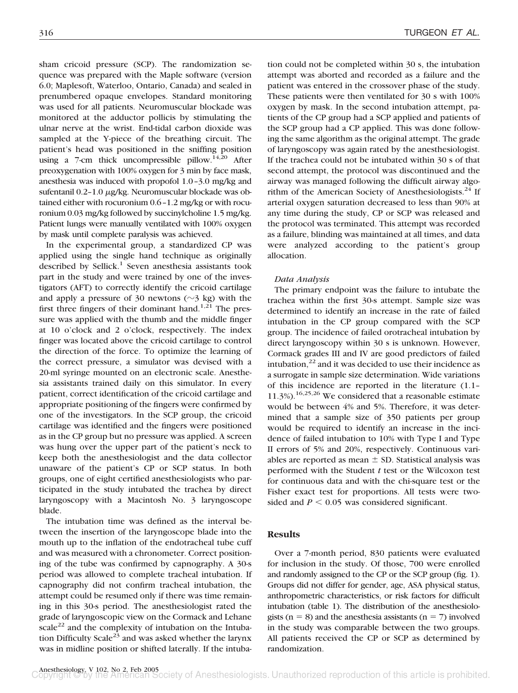sham cricoid pressure (SCP). The randomization sequence was prepared with the Maple software (version 6.0; Maplesoft, Waterloo, Ontario, Canada) and sealed in prenumbered opaque envelopes. Standard monitoring was used for all patients. Neuromuscular blockade was monitored at the adductor pollicis by stimulating the ulnar nerve at the wrist. End-tidal carbon dioxide was sampled at the Y-piece of the breathing circuit. The patient's head was positioned in the sniffing position using a 7-cm thick uncompressible pillow.<sup>14,20</sup> After preoxygenation with 100% oxygen for 3 min by face mask, anesthesia was induced with propofol 1.0–3.0 mg/kg and sufentanil  $0.2-1.0 \mu g/kg$ . Neuromuscular blockade was obtained either with rocuronium 0.6–1.2 mg/kg or with rocuronium 0.03 mg/kg followed by succinylcholine 1.5 mg/kg. Patient lungs were manually ventilated with 100% oxygen by mask until complete paralysis was achieved.

In the experimental group, a standardized CP was applied using the single hand technique as originally described by Sellick.<sup>1</sup> Seven anesthesia assistants took part in the study and were trained by one of the investigators (AFT) to correctly identify the cricoid cartilage and apply a pressure of 30 newtons  $(\sim$ 3 kg) with the first three fingers of their dominant hand.<sup>1,21</sup> The pressure was applied with the thumb and the middle finger at 10 o'clock and 2 o'clock, respectively. The index finger was located above the cricoid cartilage to control the direction of the force. To optimize the learning of the correct pressure, a simulator was devised with a 20-ml syringe mounted on an electronic scale. Anesthesia assistants trained daily on this simulator. In every patient, correct identification of the cricoid cartilage and appropriate positioning of the fingers were confirmed by one of the investigators. In the SCP group, the cricoid cartilage was identified and the fingers were positioned as in the CP group but no pressure was applied. A screen was hung over the upper part of the patient's neck to keep both the anesthesiologist and the data collector unaware of the patient's CP or SCP status. In both groups, one of eight certified anesthesiologists who participated in the study intubated the trachea by direct laryngoscopy with a Macintosh No. 3 laryngoscope blade.

The intubation time was defined as the interval between the insertion of the laryngoscope blade into the mouth up to the inflation of the endotracheal tube cuff and was measured with a chronometer. Correct positioning of the tube was confirmed by capnography. A 30-s period was allowed to complete tracheal intubation. If capnography did not confirm tracheal intubation, the attempt could be resumed only if there was time remaining in this 30-s period. The anesthesiologist rated the grade of laryngoscopic view on the Cormack and Lehane scale<sup>22</sup> and the complexity of intubation on the Intubation Difficulty Scale<sup>23</sup> and was asked whether the larynx was in midline position or shifted laterally. If the intubation could not be completed within 30 s, the intubation attempt was aborted and recorded as a failure and the patient was entered in the crossover phase of the study. These patients were then ventilated for 30 s with 100% oxygen by mask. In the second intubation attempt, patients of the CP group had a SCP applied and patients of the SCP group had a CP applied. This was done following the same algorithm as the original attempt. The grade of laryngoscopy was again rated by the anesthesiologist. If the trachea could not be intubated within 30 s of that second attempt, the protocol was discontinued and the airway was managed following the difficult airway algorithm of the American Society of Anesthesiologists.<sup>24</sup> If arterial oxygen saturation decreased to less than 90% at any time during the study, CP or SCP was released and the protocol was terminated. This attempt was recorded as a failure, blinding was maintained at all times, and data were analyzed according to the patient's group allocation.

# *Data Analysis*

The primary endpoint was the failure to intubate the trachea within the first 30-s attempt. Sample size was determined to identify an increase in the rate of failed intubation in the CP group compared with the SCP group. The incidence of failed orotracheal intubation by direct laryngoscopy within 30 s is unknown. However, Cormack grades III and IV are good predictors of failed intubation, $^{22}$  and it was decided to use their incidence as a surrogate in sample size determination. Wide variations of this incidence are reported in the literature (1.1– 11.3%).<sup>16,25,26</sup> We considered that a reasonable estimate would be between 4% and 5%. Therefore, it was determined that a sample size of 350 patients per group would be required to identify an increase in the incidence of failed intubation to 10% with Type I and Type II errors of 5% and 20%, respectively. Continuous variables are reported as mean  $\pm$  SD. Statistical analysis was performed with the Student *t* test or the Wilcoxon test for continuous data and with the chi-square test or the Fisher exact test for proportions. All tests were twosided and  $P \leq 0.05$  was considered significant.

# **Results**

Over a 7-month period, 830 patients were evaluated for inclusion in the study. Of those, 700 were enrolled and randomly assigned to the CP or the SCP group (fig. 1). Groups did not differ for gender, age, ASA physical status, anthropometric characteristics, or risk factors for difficult intubation (table 1). The distribution of the anesthesiologists ( $n = 8$ ) and the anesthesia assistants ( $n = 7$ ) involved in the study was comparable between the two groups. All patients received the CP or SCP as determined by randomization.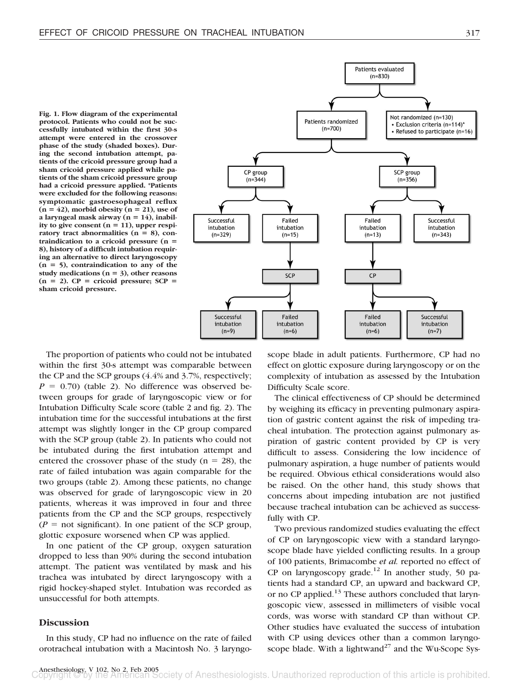**Fig. 1. Flow diagram of the experimental protocol. Patients who could not be successfully intubated within the first 30-s attempt were entered in the crossover phase of the study (shaded boxes). During the second intubation attempt, patients of the cricoid pressure group had a sham cricoid pressure applied while patients of the sham cricoid pressure group had a cricoid pressure applied. \*Patients were excluded for the following reasons: symptomatic gastroesophageal reflux**  $(n = 42)$ , morbid obesity  $(n = 21)$ , use of a laryngeal mask airway  $(n = 14)$ , inability to give consent  $(n = 11)$ , upper respiratory tract abnormalities  $(n = 8)$ , con**traindication to a cricoid pressure (n 8), history of a difficult intubation requiring an alternative to direct laryngoscopy (n 5), contraindication to any of the** study medications  $(n = 3)$ , other reasons  $(n = 2)$ . CP = cricoid pressure; SCP = **sham cricoid pressure.**



The proportion of patients who could not be intubated within the first 30-s attempt was comparable between the CP and the SCP groups (4.4% and 3.7%, respectively;  $P = 0.70$ ) (table 2). No difference was observed between groups for grade of laryngoscopic view or for Intubation Difficulty Scale score (table 2 and fig. 2). The intubation time for the successful intubations at the first attempt was slightly longer in the CP group compared with the SCP group (table 2). In patients who could not be intubated during the first intubation attempt and entered the crossover phase of the study ( $n = 28$ ), the rate of failed intubation was again comparable for the two groups (table 2). Among these patients, no change was observed for grade of laryngoscopic view in 20 patients, whereas it was improved in four and three patients from the CP and the SCP groups, respectively  $(P =$  not significant). In one patient of the SCP group, glottic exposure worsened when CP was applied.

In one patient of the CP group, oxygen saturation dropped to less than 90% during the second intubation attempt. The patient was ventilated by mask and his trachea was intubated by direct laryngoscopy with a rigid hockey-shaped stylet. Intubation was recorded as unsuccessful for both attempts.

## **Discussion**

In this study, CP had no influence on the rate of failed orotracheal intubation with a Macintosh No. 3 laryngoscope blade in adult patients. Furthermore, CP had no effect on glottic exposure during laryngoscopy or on the complexity of intubation as assessed by the Intubation Difficulty Scale score.

The clinical effectiveness of CP should be determined by weighing its efficacy in preventing pulmonary aspiration of gastric content against the risk of impeding tracheal intubation. The protection against pulmonary aspiration of gastric content provided by CP is very difficult to assess. Considering the low incidence of pulmonary aspiration, a huge number of patients would be required. Obvious ethical considerations would also be raised. On the other hand, this study shows that concerns about impeding intubation are not justified because tracheal intubation can be achieved as successfully with CP.

Two previous randomized studies evaluating the effect of CP on laryngoscopic view with a standard laryngoscope blade have yielded conflicting results. In a group of 100 patients, Brimacombe *et al.* reported no effect of CP on laryngoscopy grade.<sup>12</sup> In another study, 50 patients had a standard CP, an upward and backward CP, or no CP applied.<sup>13</sup> These authors concluded that laryngoscopic view, assessed in millimeters of visible vocal cords, was worse with standard CP than without CP. Other studies have evaluated the success of intubation with CP using devices other than a common laryngoscope blade. With a lightwand<sup>27</sup> and the Wu-Scope Sys-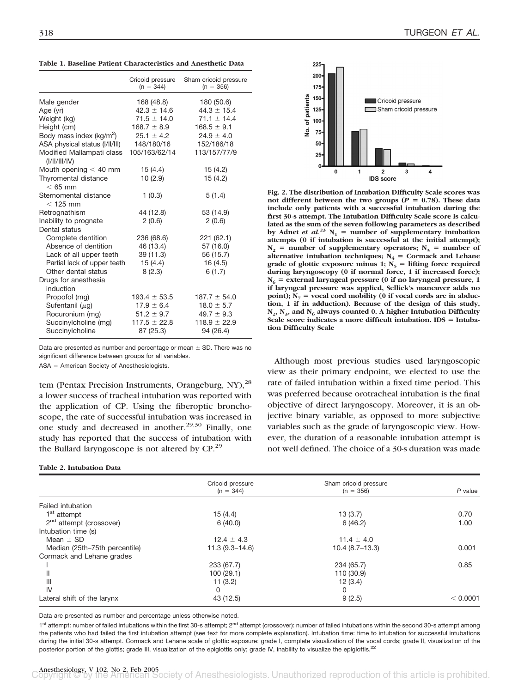**Table 1. Baseline Patient Characteristics and Anesthetic Data**

|                                            | Cricoid pressure<br>$(n = 344)$ | Sham cricoid pressure<br>$(n = 356)$ |
|--------------------------------------------|---------------------------------|--------------------------------------|
| Male gender                                | 168 (48.8)                      | 180 (50.6)                           |
| Age (yr)                                   | $42.3 \pm 14.6$                 | $44.3 \pm 15.4$                      |
| Weight (kg)                                | $71.5 \pm 14.0$                 | $71.1 \pm 14.4$                      |
| Height (cm)                                | $168.7 \pm 8.9$                 | $168.5 \pm 9.1$                      |
| Body mass index (kg/m <sup>2</sup> )       | $25.1 \pm 4.2$                  | $24.9 \pm 4.0$                       |
| ASA physical status (I/II/III)             | 148/180/16                      | 152/186/18                           |
| Modified Mallampati class<br>(I/II/III/IV) | 105/163/62/14                   | 113/157/77/9                         |
| Mouth opening $<$ 40 mm                    | 15(4.4)                         | 15(4.2)                              |
| Thyromental distance<br>$< 65$ mm          | 10(2.9)                         | 15(4.2)                              |
| Sternomental distance<br>$<$ 125 mm        | 1(0.3)                          | 5(1.4)                               |
| Retrognathism                              | 44 (12.8)                       | 53 (14.9)                            |
| Inability to prognate                      | 2(0.6)                          | 2(0.6)                               |
| Dental status                              |                                 |                                      |
| Complete dentition                         | 236 (68.6)                      | 221(62.1)                            |
| Absence of dentition                       | 46 (13.4)                       | 57 (16.0)                            |
| Lack of all upper teeth                    | 39 (11.3)                       | 56 (15.7)                            |
| Partial lack of upper teeth                | 15(4.4)                         | 16(4.5)                              |
| Other dental status                        | 8(2.3)                          | 6(1.7)                               |
| Drugs for anesthesia                       |                                 |                                      |
| induction                                  |                                 |                                      |
| Propofol (mg)                              | $193.4 \pm 53.5$                | $187.7 \pm 54.0$                     |
| Sufentanil $(\mu g)$                       | $17.9 \pm 6.4$                  | $18.0 \pm 5.7$                       |
| Rocuronium (mg)                            | $51.2 \pm 9.7$                  | $49.7 \pm 9.3$                       |
| Succinylcholine (mg)<br>Succinylcholine    | $117.5 \pm 22.8$<br>87 (25.3)   | $118.9 \pm 22.9$<br>94 (26.4)        |

Data are presented as number and percentage or mean  $\pm$  SD. There was no significant difference between groups for all variables.

 $ASA = American Society of Anesthesiolo aists.$ 

tem (Pentax Precision Instruments, Orangeburg, NY),<sup>28</sup> a lower success of tracheal intubation was reported with the application of CP. Using the fiberoptic bronchoscope, the rate of successful intubation was increased in one study and decreased in another.<sup>29,30</sup> Finally, one study has reported that the success of intubation with the Bullard laryngoscope is not altered by CP.<sup>29</sup>

#### **Table 2. Intubation Data**



**Fig. 2. The distribution of Intubation Difficulty Scale scores was** not different between the two groups ( $P = 0.78$ ). These data **include only patients with a successful intubation during the first 30-s attempt. The Intubation Difficulty Scale score is calculated as the sum of the seven following parameters as described** by Adnet *et al.*<sup>23</sup>  $N_1$  = number of supplementary intubation **attempts (0 if intubation is successful at the initial attempt);**  $N_2$  = number of supplementary operators;  $N_3$  = number of alternative intubation techniques;  $N_4$  = Cormack and Lehane grade of glottic exposure minus 1;  $N_5$  = lifting force required **during laryngoscopy (0 if normal force, 1 if increased force);**  $N_6$  = external laryngeal pressure (0 if no laryngeal pressure, 1 **if laryngeal pressure was applied, Sellick's maneuver adds no** point);  $N_7$  = vocal cord mobility (0 if vocal cords are in abduc**tion, 1 if in adduction). Because of the design of this study,**  $N_2$ ,  $N_3$ , and  $N_6$  always counted 0. A higher Intubation Difficulty Scale score indicates a more difficult intubation. IDS = Intuba**tion Difficulty Scale**

Although most previous studies used laryngoscopic view as their primary endpoint, we elected to use the rate of failed intubation within a fixed time period. This was preferred because orotracheal intubation is the final objective of direct laryngoscopy. Moreover, it is an objective binary variable, as opposed to more subjective variables such as the grade of laryngoscopic view. However, the duration of a reasonable intubation attempt is not well defined. The choice of a 30-s duration was made

|                                     | Cricoid pressure<br>$(n = 344)$ | Sham cricoid pressure<br>$(n = 356)$ |          |  |
|-------------------------------------|---------------------------------|--------------------------------------|----------|--|
|                                     |                                 |                                      | P value  |  |
| Failed intubation                   |                                 |                                      |          |  |
| 1 <sup>st</sup> attempt             | 15(4.4)                         | 13(3.7)                              | 0.70     |  |
| 2 <sup>nd</sup> attempt (crossover) | 6(40.0)                         | 6(46.2)                              | 1.00     |  |
| Intubation time (s)                 |                                 |                                      |          |  |
| Mean $\pm$ SD                       | $12.4 \pm 4.3$                  | $11.4 \pm 4.0$                       |          |  |
| Median (25th–75th percentile)       | $11.3(9.3 - 14.6)$              | $10.4(8.7-13.3)$                     | 0.001    |  |
| Cormack and Lehane grades           |                                 |                                      |          |  |
|                                     | 233 (67.7)                      | 234 (65.7)                           | 0.85     |  |
|                                     | 100(29.1)                       | 110 (30.9)                           |          |  |
| $\mathbf{III}$                      | 11(3.2)                         | 12(3.4)                              |          |  |
| IV                                  | 0                               | 0                                    |          |  |
| Lateral shift of the larynx         | 43 (12.5)                       | 9(2.5)                               | < 0.0001 |  |

Data are presented as number and percentage unless otherwise noted.

1<sup>st</sup> attempt: number of failed intubations within the first 30-s attempt; 2<sup>nd</sup> attempt (crossover): number of failed intubations within the second 30-s attempt among the patients who had failed the first intubation attempt (see text for more complete explanation). Intubation time: time to intubation for successful intubations during the initial 30-s attempt. Cormack and Lehane scale of glottic exposure: grade I, complete visualization of the vocal cords; grade II, visualization of the posterior portion of the glottis; grade III, visualization of the epiglottis only; grade IV, inability to visualize the epiglottis.<sup>22</sup>